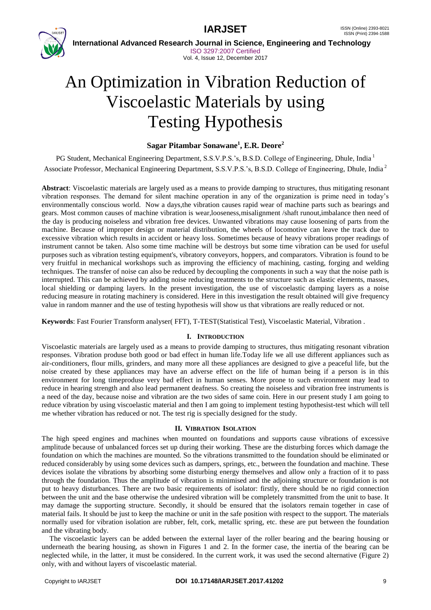



 **International Advanced Research Journal in Science, Engineering and Technology** ISO 3297:2007 Certified Vol. 4, Issue 12, December 2017

# An Optimization in Vibration Reduction of Viscoelastic Materials by using Testing Hypothesis

# **Sagar Pitambar Sonawane<sup>1</sup> , E.R. Deore<sup>2</sup>**

PG Student, Mechanical Engineering Department, S.S.V.P.S.'s, B.S.D. College of Engineering, Dhule, India<sup>1</sup> Associate Professor, Mechanical Engineering Department, S.S.V.P.S.'s, B.S.D. College of Engineering, Dhule, India <sup>2</sup>

**Abstract**: Viscoelastic materials are largely used as a means to provide damping to structures, thus mitigating resonant vibration responses. The demand for silent machine operation in any of the organization is prime need in today's environmentally conscious world. Now a days,the vibration causes rapid wear of machine parts such as bearings and gears. Most common causes of machine vibration is wear,looseness,misalignment /shaft runout,imbalance then need of the day is producing noiseless and vibration free devices. Unwanted vibrations may cause loosening of parts from the machine. Because of improper design or material distribution, the wheels of locomotive can leave the track due to excessive vibration which results in accident or heavy loss. Sometimes because of heavy vibrations proper readings of instrument cannot be taken. Also some time machine will be destroys but some time vibration can be used for useful purposes such as vibration testing equipment's, vibratory conveyors, hoppers, and comparators. Vibration is found to be very fruitful in mechanical workshops such as improving the efficiency of machining, casting, forging and welding techniques. The transfer of noise can also be reduced by decoupling the components in such a way that the noise path is interrupted. This can be achieved by adding noise reducing treatments to the structure such as elastic elements, masses, local shielding or damping layers. In the present investigation, the use of viscoelastic damping layers as a noise reducing measure in rotating machinery is considered. Here in this investigation the result obtained will give frequency value in random manner and the use of testing hypothesis will show us that vibrations are really reduced or not.

**Keywords**: Fast Fourier Transform analyser( FFT), T-TEST(Statistical Test), Viscoelastic Material, Vibration .

### **I. INTRODUCTION**

Viscoelastic materials are largely used as a means to provide damping to structures, thus mitigating resonant vibration responses. Vibration produse both good or bad effect in human life.Today life we all use different appliances such as air-conditioners, flour mills, grinders, and many more all these appliances are designed to give a peaceful life, but the noise created by these appliances may have an adverse effect on the life of human being if a person is in this environment for long timeproduse very bad effect in human senses. More prone to such environment may lead to reduce in hearing strength and also lead permanent deafness. So creating the noiseless and vibration free instruments is a need of the day, because noise and vibration are the two sides of same coin. Here in our present study I am going to reduce vibration by using viscoelastic material and then I am going to implement testing hypothesist-test which will tell me whether vibration has reduced or not. The test rig is specially designed for the study.

### **II. VIBRATION ISOLATION**

The high speed engines and machines when mounted on foundations and supports cause vibrations of excessive amplitude because of unbalanced forces set up during their working. These are the disturbing forces which damage the foundation on which the machines are mounted. So the vibrations transmitted to the foundation should be eliminated or reduced considerably by using some devices such as dampers, springs, etc., between the foundation and machine. These devices isolate the vibrations by absorbing some disturbing energy themselves and allow only a fraction of it to pass through the foundation. Thus the amplitude of vibration is minimised and the adjoining structure or foundation is not put to heavy disturbances. There are two basic requirements of isolator: firstly, there should be no rigid connection between the unit and the base otherwise the undesired vibration will be completely transmitted from the unit to base. It may damage the supporting structure. Secondly, it should be ensured that the isolators remain together in case of material fails. It should be just to keep the machine or unit in the safe position with respect to the support. The materials normally used for vibration isolation are rubber, felt, cork, metallic spring, etc. these are put between the foundation and the vibrating body.

The viscoelastic layers can be added between the external layer of the roller bearing and the bearing housing or underneath the bearing housing, as shown in Figures 1 and 2. In the former case, the inertia of the bearing can be neglected while, in the latter, it must be considered. In the current work, it was used the second alternative (Figure 2) only, with and without layers of viscoelastic material.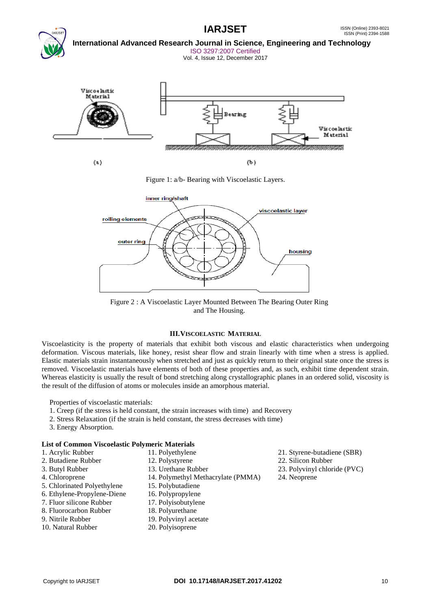

 **International Advanced Research Journal in Science, Engineering and Technology** ISO 3297:2007 Certified

Vol. 4, Issue 12, December 2017



Figure 1: a/b- Bearing with Viscoelastic Layers.



Figure 2 : A Viscoelastic Layer Mounted Between The Bearing Outer Ring and The Housing.

# **III.VISCOELASTIC MATERIAL**

Viscoelasticity is the property of materials that exhibit both viscous and elastic characteristics when undergoing deformation. Viscous materials, like honey, resist shear flow and strain linearly with time when a stress is applied. Elastic materials strain instantaneously when stretched and just as quickly return to their original state once the stress is removed. Viscoelastic materials have elements of both of these properties and, as such, exhibit time dependent strain. Whereas elasticity is usually the result of bond stretching along crystallographic planes in an ordered solid, viscosity is the result of the diffusion of atoms or molecules inside an amorphous material.

Properties of viscoelastic materials:

- 1. Creep (if the stress is held constant, the strain increases with time) and Recovery
- 2. Stress Relaxation (if the strain is held constant, the stress decreases with time)
- 3. Energy Absorption.

# **List of Common Viscoelastic Polymeric Materials**

- 
- 
- 
- 
- 5. Chlorinated Polyethylene 15. Polybutadiene
- 6. Ethylene-Propylene-Diene 16. Polypropylene
- 7. Fluor silicone Rubber 17. Polyisobutylene
- 8. Fluorocarbon Rubber 18. Polyurethane
- 
- 10. Natural Rubber 20. Polyisoprene
- 
- 3. Butyl Rubber 13. Urethane Rubber 23. Polyvinyl chloride (PVC)
- 4. Chloroprene 14. Polymethyl Methacrylate (PMMA) 24. Neoprene
	-
	-
	-
	-
- 9. Nitrile Rubber 19. Polyvinyl acetate
	-
- 1. Acrylic Rubber 11. Polyethylene 21. Styrene-butadiene (SBR)
- 2. Butadiene Rubber 12. Polystyrene 22. Silicon Rubber
	-
	-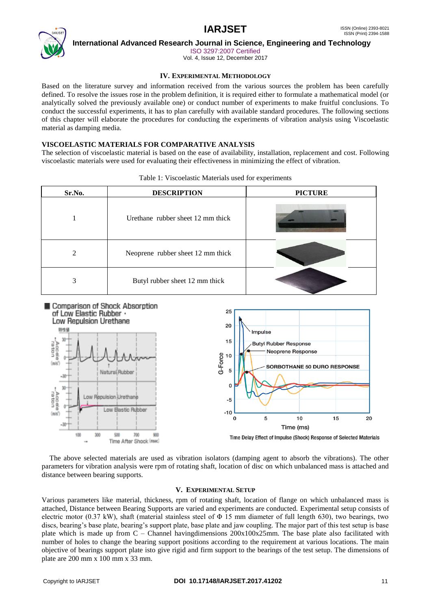

 **International Advanced Research Journal in Science, Engineering and Technology**

ISO 3297:2007 Certified

Vol. 4, Issue 12, December 2017

# **IV. EXPERIMENTAL METHODOLOGY**

Based on the literature survey and information received from the various sources the problem has been carefully defined. To resolve the issues rose in the problem definition, it is required either to formulate a mathematical model (or analytically solved the previously available one) or conduct number of experiments to make fruitful conclusions. To conduct the successful experiments, it has to plan carefully with available standard procedures. The following sections of this chapter will elaborate the procedures for conducting the experiments of vibration analysis using Viscoelastic material as damping media.

# **VISCOELASTIC MATERIALS FOR COMPARATIVE ANALYSIS**

The selection of viscoelastic material is based on the ease of availability, installation, replacement and cost. Following viscoelastic materials were used for evaluating their effectiveness in minimizing the effect of vibration.

| Sr.No.         | <b>DESCRIPTION</b>                | <b>PICTURE</b> |  |
|----------------|-----------------------------------|----------------|--|
|                | Urethane rubber sheet 12 mm thick |                |  |
| $\mathfrak{D}$ | Neoprene rubber sheet 12 mm thick |                |  |
| 3              | Butyl rubber sheet 12 mm thick    |                |  |

|  |  |  |  | Table 1: Viscoelastic Materials used for experiments |
|--|--|--|--|------------------------------------------------------|
|--|--|--|--|------------------------------------------------------|



The above selected materials are used as vibration isolators (damping agent to absorb the vibrations). The other parameters for vibration analysis were rpm of rotating shaft, location of disc on which unbalanced mass is attached and distance between bearing supports.

### **V. EXPERIMENTAL SETUP**

Various parameters like material, thickness, rpm of rotating shaft, location of flange on which unbalanced mass is attached, Distance between Bearing Supports are varied and experiments are conducted. Experimental setup consists of electric motor (0.37 kW), shaft (material stainless steel of  $\Phi$  15 mm diameter of full length 630), two bearings, two discs, bearing's base plate, bearing's support plate, base plate and jaw coupling. The major part of this test setup is base plate which is made up from C – Channel havingdimensions 200x100x25mm. The base plate also facilitated with number of holes to change the bearing support positions according to the requirement at various locations. The main objective of bearings support plate isto give rigid and firm support to the bearings of the test setup. The dimensions of plate are 200 mm x 100 mm x 33 mm.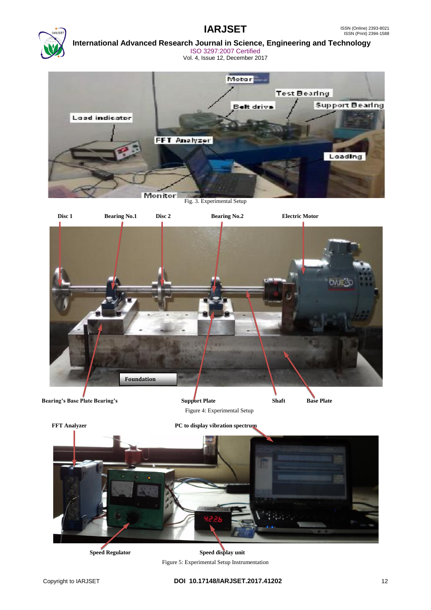

# **International Advanced Research Journal in Science, Engineering and Technology** ISO 3297:2007 Certified

Vol. 4, Issue 12, December 2017



Fig. 3. Experimental Setup



**Speed Regulator** Speed display unit Figure 5: Experimental Setup Instrumentation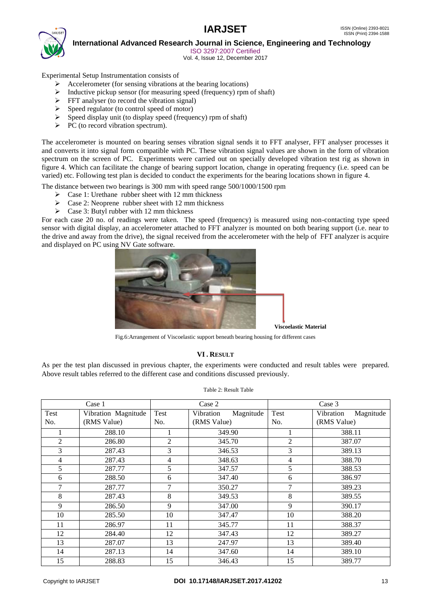

 **International Advanced Research Journal in Science, Engineering and Technology**

ISO 3297:2007 Certified

Vol. 4, Issue 12, December 2017

Experimental Setup Instrumentation consists of

- Accelerometer (for sensing vibrations at the bearing locations)
- $\triangleright$  Inductive pickup sensor (for measuring speed (frequency) rpm of shaft)
- $\triangleright$  FFT analyser (to record the vibration signal)
- $\triangleright$  Speed regulator (to control speed of motor)
- $\triangleright$  Speed display unit (to display speed (frequency) rpm of shaft)
- $\triangleright$  PC (to record vibration spectrum).

The accelerometer is mounted on bearing senses vibration signal sends it to FFT analyser, FFT analyser processes it and converts it into signal form compatible with PC. These vibration signal values are shown in the form of vibration spectrum on the screen of PC. Experiments were carried out on specially developed vibration test rig as shown in figure 4. Which can facilitate the change of bearing support location, change in operating frequency (i.e. speed can be varied) etc. Following test plan is decided to conduct the experiments for the bearing locations shown in figure 4.

The distance between two bearings is 300 mm with speed range 500/1000/1500 rpm

- Case 1: Urethane rubber sheet with 12 mm thickness
- $\triangleright$  Case 2: Neoprene rubber sheet with 12 mm thickness
- $\triangleright$  Case 3: Butyl rubber with 12 mm thickness

For each case 20 no. of readings were taken. The speed (frequency) is measured using non-contacting type speed sensor with digital display, an accelerometer attached to FFT analyzer is mounted on both bearing support (i.e. near to the drive and away from the drive), the signal received from the accelerometer with the help of FFT analyzer is acquire and displayed on PC using NV Gate software.



Fig.6:Arrangement of Viscoelastic support beneath bearing housing for different cases

### **VI . RESULT**

As per the test plan discussed in previous chapter, the experiments were conducted and result tables were prepared. Above result tables referred to the different case and conditions discussed previously.

| Case 1         |                     | Case 2         |                        | Case 3         |                        |
|----------------|---------------------|----------------|------------------------|----------------|------------------------|
| Test           | Vibration Magnitude | Test           | Magnitude<br>Vibration | Test           | Magnitude<br>Vibration |
| No.            | (RMS Value)         | No.            | (RMS Value)            | No.            | (RMS Value)            |
|                | 288.10              |                | 349.90                 |                | 388.11                 |
| 2              | 286.80              | $\overline{2}$ | 345.70                 | $\overline{2}$ | 387.07                 |
| 3              | 287.43              | 3              | 346.53                 | 3              | 389.13                 |
| $\overline{4}$ | 287.43              | 4              | 348.63                 | 4              | 388.70                 |
| 5              | 287.77              | 5              | 347.57                 | 5              | 388.53                 |
| 6              | 288.50              | 6              | 347.40                 | 6              | 386.97                 |
| 7              | 287.77              | 7              | 350.27                 | 7              | 389.23                 |
| 8              | 287.43              | 8              | 349.53                 | 8              | 389.55                 |
| 9              | 286.50              | 9              | 347.00                 | 9              | 390.17                 |
| 10             | 285.50              | 10             | 347.47                 | 10             | 388.20                 |
| 11             | 286.97              | 11             | 345.77                 | 11             | 388.37                 |
| 12             | 284.40              | 12             | 347.43                 | 12             | 389.27                 |
| 13             | 287.07              | 13             | 247.97                 | 13             | 389.40                 |
| 14             | 287.13              | 14             | 347.60                 | 14             | 389.10                 |
| 15             | 288.83              | 15             | 346.43                 | 15             | 389.77                 |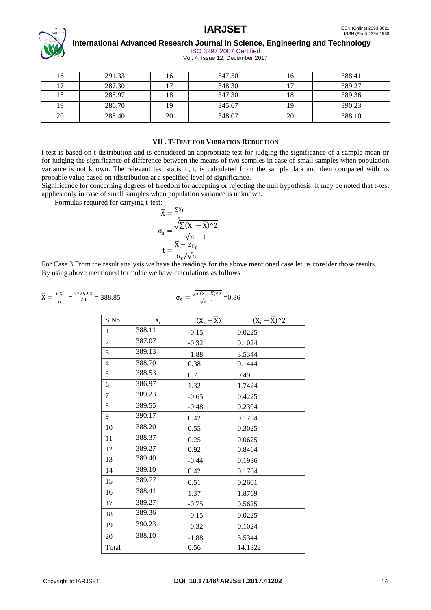

 **International Advanced Research Journal in Science, Engineering and Technology**

ISO 3297:2007 Certified

Vol. 4, Issue 12, December 2017

| 16 | 291.33 |    | 347.50 | 1 U | 388.41 |
|----|--------|----|--------|-----|--------|
| 17 | 287.30 |    | 348.30 |     | 389.27 |
| 18 | 288.97 |    | 347.30 | 18  | 389.36 |
| 19 | 286.70 |    | 345.67 | 19  | 390.23 |
| 20 | 288.40 | 20 | 348.07 | 20  | 388.10 |

## **VII . T-TEST FOR VIBRATION REDUCTION**

t-test is based on t-distribution and is considered an appropriate test for judging the significance of a sample mean or for judging the significance of difference between the means of two samples in case of small samples when population variance is not known. The relevant test statistic, t, is calculated from the sample data and then compared with its probable value based on tdistribution at a specified level of significance.

Significance for concerning degrees of freedom for accepting or rejecting the null hypothesis. It may be noted that t-test applies only in case of small samples when population variance is unknown.

Formulas required for carrying t-test:

$$
\overline{X} = \frac{\sum x_i}{n}
$$

$$
\sigma_s = \frac{\sqrt{\sum (X_i - \overline{X})^2}}{\sqrt{n - 1}}
$$

$$
t = \frac{\overline{X} - \mu_{H_0}}{\sigma_s / \sqrt{n}}
$$

For Case 3 From the result analysis we have the readings for the above mentioned case let us consider those results. By using above mentioned formulae we have calculations as follows

$$
\overline{X} = \frac{\Sigma x_i}{n} = \frac{7776.93}{20} = 388.85
$$
\n
$$
\sigma_s = \frac{\sqrt{\Sigma (x_i - \overline{X})^2}}{\sqrt{n-1}} = 0.86
$$

| S.No.          | $X_i$  | $(X_i - \overline{X})$ | $(X_i - \overline{X})^2$ |
|----------------|--------|------------------------|--------------------------|
| $\mathbf{1}$   | 388.11 | $-0.15$                | 0.0225                   |
| $\overline{c}$ | 387.07 | $-0.32$                | 0.1024                   |
| 3              | 389.13 | $-1.88$                | 3.5344                   |
| $\overline{4}$ | 388.70 | 0.38                   | 0.1444                   |
| 5              | 388.53 | 0.7                    | 0.49                     |
| 6              | 386.97 | 1.32                   | 1.7424                   |
| 7              | 389.23 | $-0.65$                | 0.4225                   |
| 8              | 389.55 | $-0.48$                | 0.2304                   |
| 9              | 390.17 | 0.42                   | 0.1764                   |
| 10             | 388.20 | 0.55                   | 0.3025                   |
| 11             | 388.37 | 0.25                   | 0.0625                   |
| 12             | 389.27 | 0.92                   | 0.8464                   |
| 13             | 389.40 | $-0.44$                | 0.1936                   |
| 14             | 389.10 | 0.42                   | 0.1764                   |
| 15             | 389.77 | 0.51                   | 0.2601                   |
| 16             | 388.41 | 1.37                   | 1.8769                   |
| 17             | 389.27 | $-0.75$                | 0.5625                   |
| 18             | 389.36 | $-0.15$                | 0.0225                   |
| 19             | 390.23 | $-0.32$                | 0.1024                   |
| 20             | 388.10 | $-1.88$                | 3.5344                   |
| Total          |        | 0.56                   | 14.1322                  |